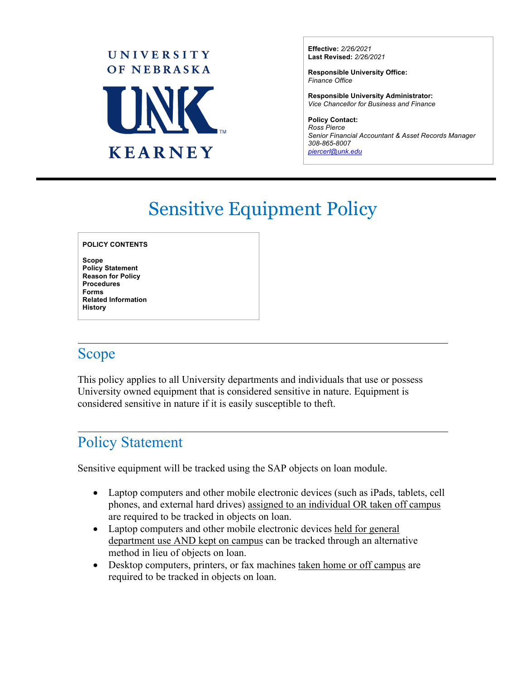

**Effective:** *2/26/2021* **Last Revised:** *2/26/2021*

**Responsible University Office:** *Finance Office*

**Responsible University Administrator:** *Vice Chancellor for Business and Finance*

**Policy Contact:** *Ross Pierce Senior Financial Accountant & Asset Records Manager 308-865-8007 [piercerl@unk.edu](mailto:piercerl@unk.edu)*

# Sensitive Equipment Policy

#### **POLICY CONTENTS**

**Scope Policy Statement Reason for Policy Procedures Forms Related Information History**

#### Scope

This policy applies to all University departments and individuals that use or possess University owned equipment that is considered sensitive in nature. Equipment is considered sensitive in nature if it is easily susceptible to theft.

## Policy Statement

Sensitive equipment will be tracked using the SAP objects on loan module.

- Laptop computers and other mobile electronic devices (such as iPads, tablets, cell phones, and external hard drives) assigned to an individual OR taken off campus are required to be tracked in objects on loan.
- Laptop computers and other mobile electronic devices held for general department use AND kept on campus can be tracked through an alternative method in lieu of objects on loan.
- Desktop computers, printers, or fax machines taken home or off campus are required to be tracked in objects on loan.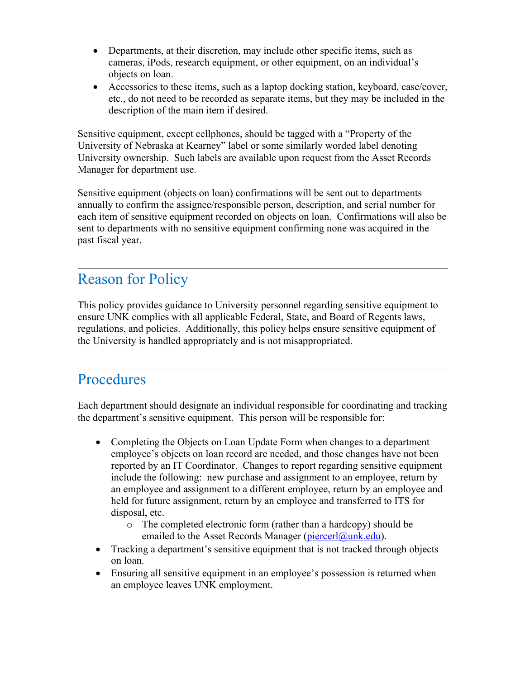- Departments, at their discretion, may include other specific items, such as cameras, iPods, research equipment, or other equipment, on an individual's objects on loan.
- Accessories to these items, such as a laptop docking station, keyboard, case/cover, etc., do not need to be recorded as separate items, but they may be included in the description of the main item if desired.

Sensitive equipment, except cellphones, should be tagged with a "Property of the University of Nebraska at Kearney" label or some similarly worded label denoting University ownership. Such labels are available upon request from the Asset Records Manager for department use.

Sensitive equipment (objects on loan) confirmations will be sent out to departments annually to confirm the assignee/responsible person, description, and serial number for each item of sensitive equipment recorded on objects on loan. Confirmations will also be sent to departments with no sensitive equipment confirming none was acquired in the past fiscal year.

# Reason for Policy

This policy provides guidance to University personnel regarding sensitive equipment to ensure UNK complies with all applicable Federal, State, and Board of Regents laws, regulations, and policies. Additionally, this policy helps ensure sensitive equipment of the University is handled appropriately and is not misappropriated.

# Procedures

Each department should designate an individual responsible for coordinating and tracking the department's sensitive equipment. This person will be responsible for:

- Completing the Objects on Loan Update Form when changes to a department employee's objects on loan record are needed, and those changes have not been reported by an IT Coordinator. Changes to report regarding sensitive equipment include the following: new purchase and assignment to an employee, return by an employee and assignment to a different employee, return by an employee and held for future assignment, return by an employee and transferred to ITS for disposal, etc.
	- o The completed electronic form (rather than a hardcopy) should be emailed to the Asset Records Manager (piercerl@unk.edu).
- Tracking a department's sensitive equipment that is not tracked through objects on loan.
- Ensuring all sensitive equipment in an employee's possession is returned when an employee leaves UNK employment.